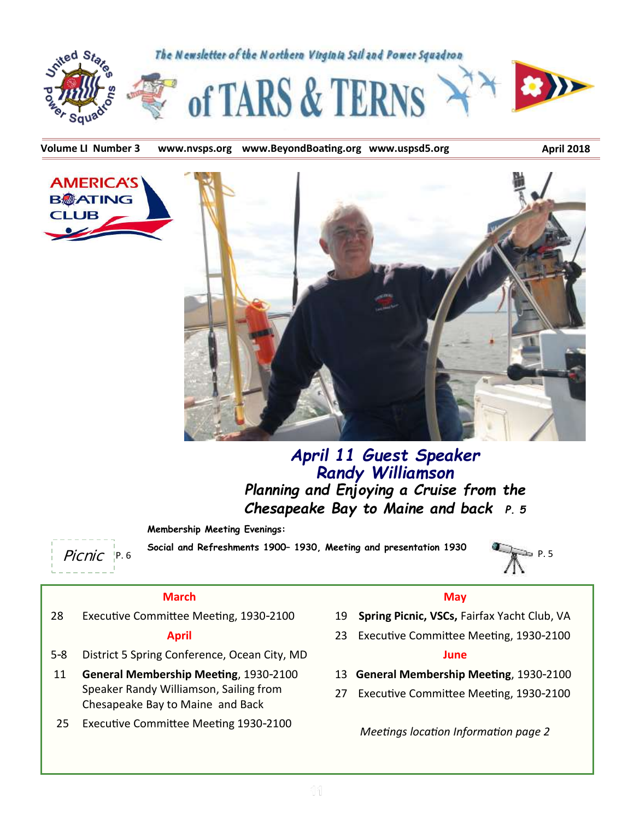

Volume LI Number 3 www.nvsps.org www.BeyondBoating.org www.uspsd5.org **ADICH 2018** 



## *April 11 Guest Speaker Randy Williamson Planning and Enjoying a Cruise from the Chesapeake Bay to Maine and back P. 5*

**Membership Meeting Evenings:**

**CLUB** 

Picnic P. 6 P. 5 **Social and Refreshments 1900– 1930, Meeting and presentation 1930**



#### **March**

28 Executive Committee Meeting, 1930-2100

#### **April**

- 5-8 District 5 Spring Conference, Ocean City, MD
- 11 **General Membership Meeting**, 1930-2100 Speaker Randy Williamson, Sailing from Chesapeake Bay to Maine and Back
- 25 Executive Committee Meeting 1930-2100

#### **May**

- 19 **Spring Picnic, VSCs,** Fairfax Yacht Club, VA
- 23 Executive Committee Meeting, 1930-2100

#### **June**

- 13 **General Membership Meeting**, 1930-2100
- 27 Executive Committee Meeting, 1930-2100

*Meetings location Information page 2*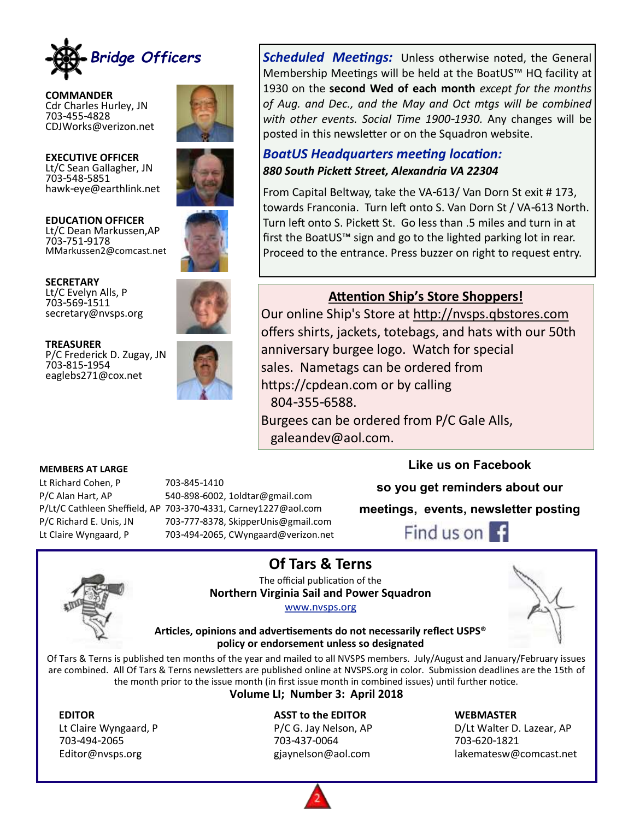

**COMMANDER** Cdr Charles Hurley, JN 703-455-4828 CDJWorks@verizon.net



**EXECUTIVE OFFICER** Lt/C Sean Gallagher, JN 703-548-5851 hawk-eye@earthlink.net





**SECRETARY** Lt/C Evelyn Alls, P 703-569-1511 secretary@nvsps.org





Lt Richard Cohen, P 703-845-1410



P/C Alan Hart, AP 540-898-6002, 1oldtar@gmail.com P/Lt/C Cathleen Sheffield, AP 703-370-4331, Carney1227@aol.com P/C Richard E. Unis, JN 703-777-8378, SkipperUnis@gmail.com Lt Claire Wyngaard, P 703-494-2065, CWyngaard@verizon.net

*Scheduled Meetings:* Unless otherwise noted, the General Membership Meetings will be held at the BoatUS™ HQ facility at 1930 on the **second Wed of each month** *except for the months of Aug. and Dec., and the May and Oct mtgs will be combined with other events. Social Time 1900-1930.* Any changes will be posted in this newsletter or on the Squadron website.

#### *BoatUS Headquarters meeting location: 880 South Pickett Street, Alexandria VA 22304*

From Capital Beltway, take the VA-613/ Van Dorn St exit # 173, towards Franconia. Turn left onto S. Van Dorn St / VA-613 North. Turn left onto S. Pickett St. Go less than .5 miles and turn in at first the BoatUS™ sign and go to the lighted parking lot in rear. Proceed to the entrance. Press buzzer on right to request entry.

## **Attention Ship's Store Shoppers!**

Our online Ship's Store at [http://nvsps.qbstores.com](http://nvsps.qbstores.com/) offers shirts, jackets, totebags, and hats with our 50th anniversary burgee logo. Watch for special sales. Nametags can be ordered from https://cpdean.com or by calling 804-355-6588. Burgees can be ordered from P/C Gale Alls,

galeandev@aol.com.

#### **Like us on Facebook**

**so you get reminders about our** 

**meetings, events, newsletter posting**





**MEMBERS AT LARGE**

**Of Tars & Terns** The official publication of the **Northern Virginia Sail and Power Squadron**

#### [www.nvsps.org](http://www.nvsps.org)



#### **Articles, opinions and advertisements do not necessarily reflect USPS® policy or endorsement unless so designated**

Of Tars & Terns is published ten months of the year and mailed to all NVSPS members. July/August and January/February issues are combined. All Of Tars & Terns newsletters are published online at NVSPS.org in color. Submission deadlines are the 15th of the month prior to the issue month (in first issue month in combined issues) until further notice.

**Volume LI; Number 3: April 2018** 

#### **EDITOR ASST to the EDITOR WEBMASTER**

703-494-2065 703-437-0064 703-620-1821

Lt Claire Wyngaard, P **P/C G. Jay Nelson, AP** D/Lt Walter D. Lazear, AP Editor@nvsps.org gjaynelson@aol.com lakematesw@comcast.net

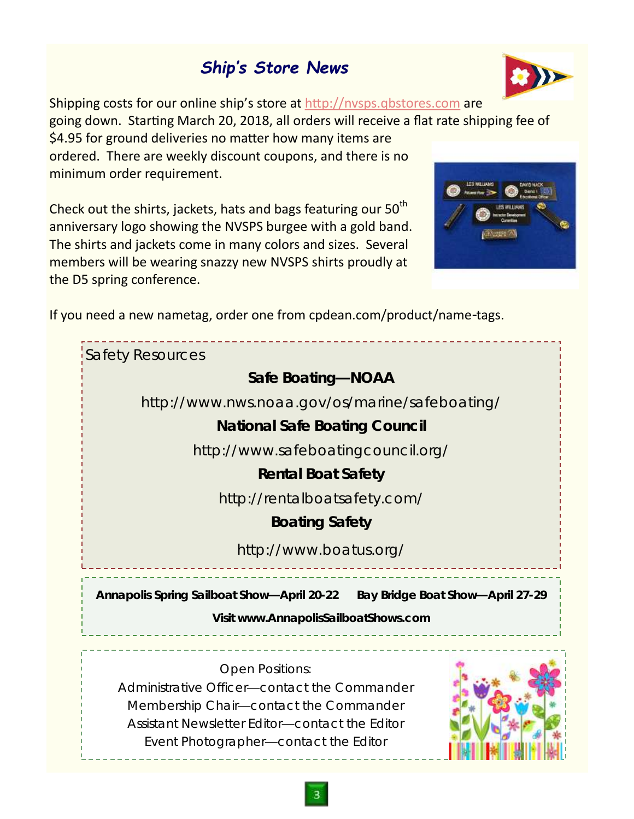# *Ship's Store News*



Shipping costs for our online ship's store at <http://nvsps.qbstores.com> are going down. Starting March 20, 2018, all orders will receive a flat rate shipping fee of \$4.95 for ground deliveries no matter how many items are ordered. There are weekly discount coupons, and there is no minimum order requirement.

Check out the shirts, jackets, hats and bags featuring our 50<sup>th</sup> anniversary logo showing the NVSPS burgee with a gold band. The shirts and jackets come in many colors and sizes. Several members will be wearing snazzy new NVSPS shirts proudly at the D5 spring conference.



If you need a new nametag, order one from cpdean.com/product/name-tags.

| <b>Safety Resources</b>                                                                                                                                                                                     |  |  |
|-------------------------------------------------------------------------------------------------------------------------------------------------------------------------------------------------------------|--|--|
| Safe Boating-NOAA                                                                                                                                                                                           |  |  |
| http://www.nws.noaa.gov/os/marine/safeboating/                                                                                                                                                              |  |  |
| <b>National Safe Boating Council</b>                                                                                                                                                                        |  |  |
| http://www.safeboatingcouncil.org/                                                                                                                                                                          |  |  |
| Rental Boat Safety                                                                                                                                                                                          |  |  |
| http://rentalboatsafety.com/                                                                                                                                                                                |  |  |
| <b>Boating Safety</b>                                                                                                                                                                                       |  |  |
| http://www.boatus.org/                                                                                                                                                                                      |  |  |
| Annapolis Spring Sailboat Show-April 20-22  Bay Bridge Boat Show-April 27-29<br>Visit www.AnnapolisSailboatShows.com                                                                                        |  |  |
| <b>Open Positions:</b><br>Administrative Officer-contact the Commander<br>Membership Chair-contact the Commander<br>Assistant Newsletter Editor-contact the Editor<br>Event Photographer-contact the Editor |  |  |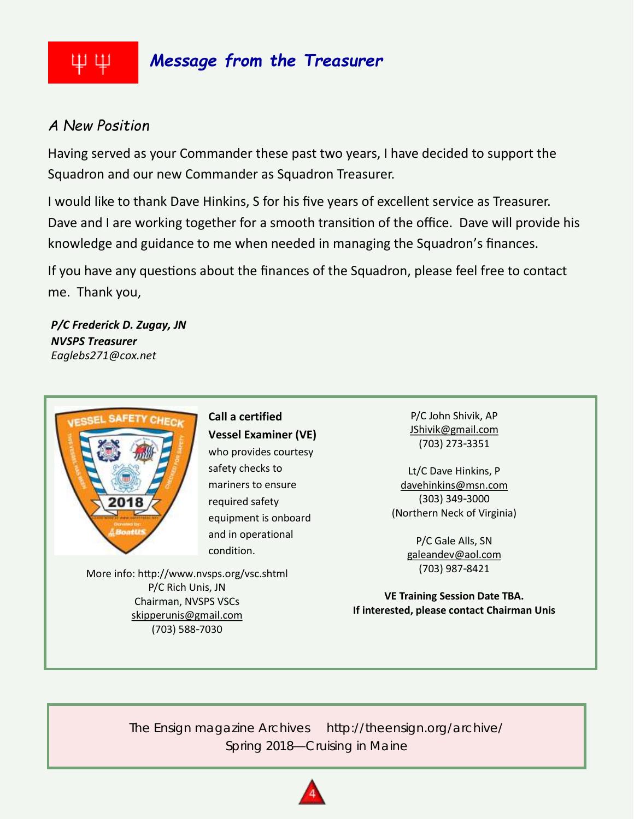### *Message from the Treasurer* ΨЩ

## *A New Position*

Having served as your Commander these past two years, I have decided to support the Squadron and our new Commander as Squadron Treasurer.

I would like to thank Dave Hinkins, S for his five years of excellent service as Treasurer. Dave and I are working together for a smooth transition of the office. Dave will provide his knowledge and guidance to me when needed in managing the Squadron's finances.

If you have any questions about the finances of the Squadron, please feel free to contact me. Thank you,

*P/C Frederick D. Zugay, JN NVSPS Treasurer Eaglebs271@cox.net*



**Call a certified Vessel Examiner (VE)**  who provides courtesy safety checks to mariners to ensure required safety equipment is onboard and in operational condition.

More info: http://www.nvsps.org/vsc.shtml P/C Rich Unis, JN Chairman, NVSPS VSCs [skipperunis@gmail.com](mailto:skipperunis@gmail.com) (703) 588-7030

P/C John Shivik, AP [JShivik@gmail.com](mailto:JShivik@gmail.com) (703) 273-3351

Lt/C Dave Hinkins, P [davehinkins@msn.com](mailto:davehinkins@msn.com) (303) 349-3000 (Northern Neck of Virginia)

> P/C Gale Alls, SN [galeandev@aol.com](mailto:galeandev@aol.com) (703) 987-8421

**VE Training Session Date TBA. If interested, please contact Chairman Unis**

*The Ensign* magazine Archives http://theensign.org/archive/ Spring 2018—Cruising in Maine

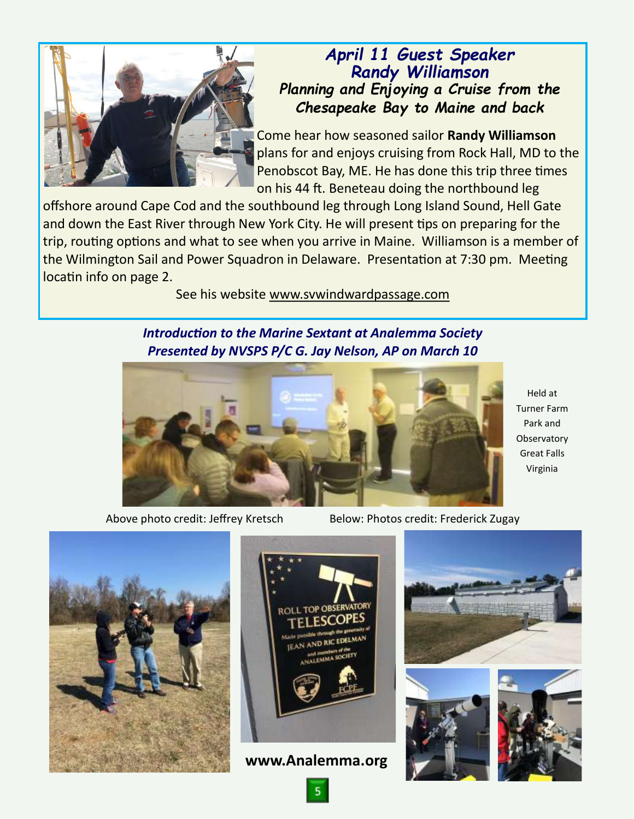

## *April 11 Guest Speaker Randy Williamson Planning and Enjoying a Cruise from the Chesapeake Bay to Maine and back*

Come hear how seasoned sailor **Randy Williamson** plans for and enjoys cruising from Rock Hall, MD to the Penobscot Bay, ME. He has done this trip three times on his 44 ft. Beneteau doing the northbound leg

offshore around Cape Cod and the southbound leg through Long Island Sound, Hell Gate and down the East River through New York City. He will present tips on preparing for the trip, routing options and what to see when you arrive in Maine. Williamson is a member of the Wilmington Sail and Power Squadron in Delaware. Presentation at 7:30 pm. Meeting locatin info on page 2.

See his website [www.svwindwardpassage.com](http://www.svwindwardpassage.com)

### *Introduction to the Marine Sextant at Analemma Society Presented by NVSPS P/C G. Jay Nelson, AP on March 10*



Above photo credit: Jeffrey Kretsch Below: Photos credit: Frederick Zugay





**www.Analemma.org**







Turner Farm Park and **Observatory** Great Falls Virginia

Held at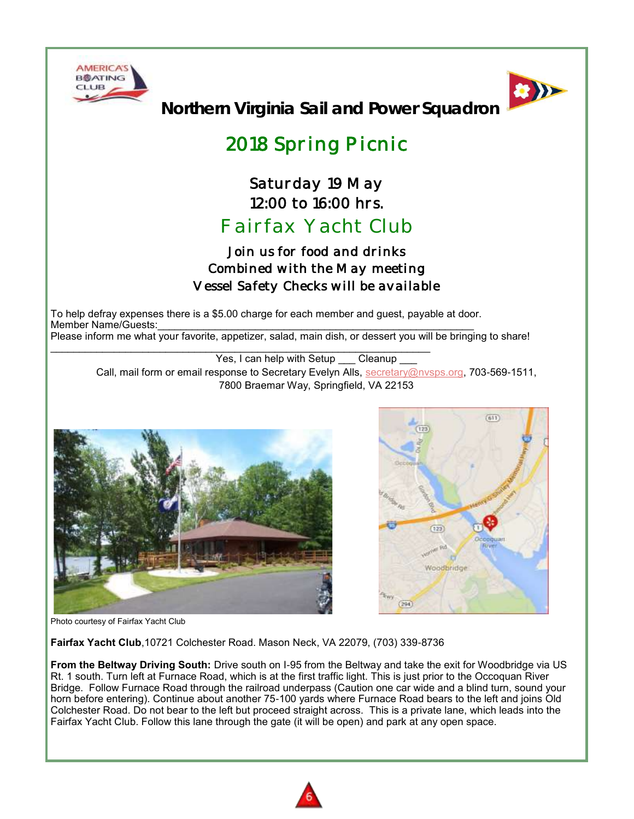



**Northern Virginia Sail and Power Squadron**

# *2018 Spring Picnic*

# *Saturday 19 May 12:00 to 16:00 hrs. Fairfax Yacht Club*

## *Join us for food and drinks Combined with the May meeting Vessel Safety Checks will be available*

To help defray expenses there is a \$5.00 charge for each member and guest, payable at door. Member Name/Guests: Please inform me what your favorite, appetizer, salad, main dish, or dessert you will be bringing to share!

Yes, I can help with Setup Cleanup Call, mail form or email response to Secretary Evelyn Alls, [secretary@nvsps.org,](mailto:secretary@nvsps.org) 703-569-1511, 7800 Braemar Way, Springfield, VA 22153





Photo courtesy of Fairfax Yacht Club

**Fairfax Yacht Club**,10721 Colchester Road. Mason Neck, VA 22079, (703) 339-8736

**From the Beltway Driving South:** Drive south on I-95 from the Beltway and take the exit for Woodbridge via US Rt. 1 south. Turn left at Furnace Road, which is at the first traffic light. This is just prior to the Occoquan River Bridge. Follow Furnace Road through the railroad underpass (Caution one car wide and a blind turn, sound your horn before entering). Continue about another 75-100 yards where Furnace Road bears to the left and joins Old Colchester Road. Do not bear to the left but proceed straight across. This is a private lane, which leads into the Fairfax Yacht Club. Follow this lane through the gate (it will be open) and park at any open space.

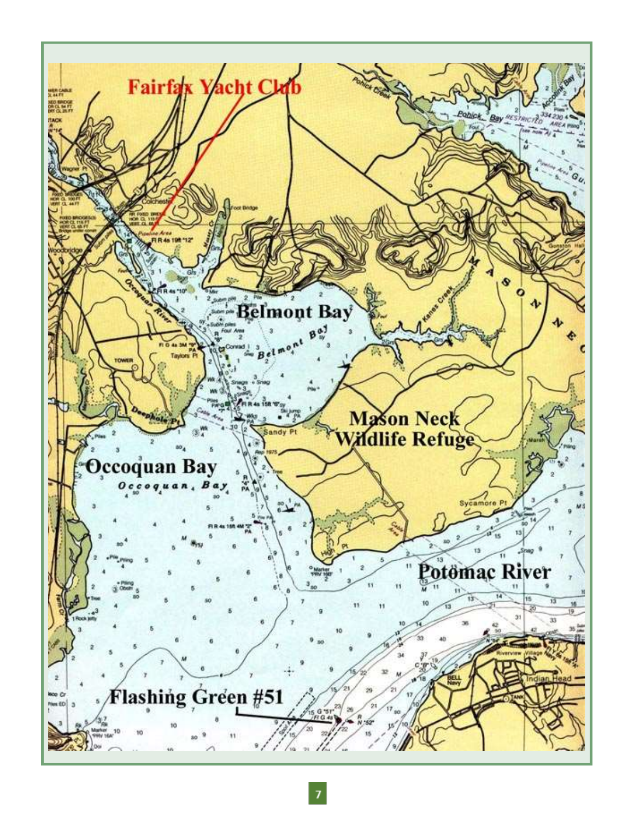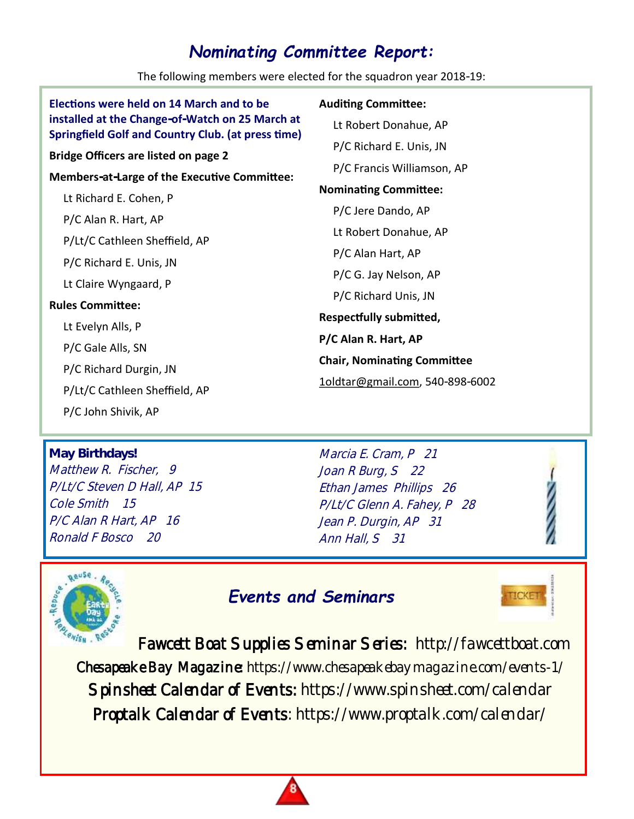## *Nominating Committee Report:*

The following members were elected for the squadron year 2018-19:

| Elections were held on 14 March and to be                                                                    | <b>Auditing Committee:</b>         |
|--------------------------------------------------------------------------------------------------------------|------------------------------------|
| installed at the Change-of-Watch on 25 March at<br><b>Springfield Golf and Country Club. (at press time)</b> | Lt Robert Donahue, AP              |
| <b>Bridge Officers are listed on page 2</b>                                                                  | P/C Richard E. Unis, JN            |
| <b>Members-at-Large of the Executive Committee:</b>                                                          | P/C Francis Williamson, AP         |
|                                                                                                              | <b>Nominating Committee:</b>       |
| Lt Richard E. Cohen, P                                                                                       | P/C Jere Dando, AP                 |
| P/C Alan R. Hart, AP                                                                                         | Lt Robert Donahue, AP              |
| P/Lt/C Cathleen Sheffield, AP                                                                                |                                    |
| P/C Richard E. Unis, JN                                                                                      | P/C Alan Hart, AP                  |
| Lt Claire Wyngaard, P                                                                                        | P/C G. Jay Nelson, AP              |
| <b>Rules Committee:</b>                                                                                      | P/C Richard Unis, JN               |
| Lt Evelyn Alls, P                                                                                            | <b>Respectfully submitted,</b>     |
|                                                                                                              | P/C Alan R. Hart, AP               |
| P/C Gale Alls, SN                                                                                            | <b>Chair, Nominating Committee</b> |
| P/C Richard Durgin, JN                                                                                       | 1oldtar@gmail.com, 540-898-6002    |
| P/Lt/C Cathleen Sheffield, AP                                                                                |                                    |
| P/C John Shivik, AP                                                                                          |                                    |

# **May Birthdays!** Matthew R. Fischer, 9

P/Lt/C Steven D Hall, AP 15 Cole Smith 15 P/C Alan R Hart, AP 16 Ronald F Bosco 20

Marcia E. Cram, P 21 Joan R Burg, S 22 Ethan James Phillips 26 P/Lt/C Glenn A. Fahey, P 28 Jean P. Durgin, AP 31 Ann Hall, S 31



# *Events and Seminars*



Fawcett Boat Supplies Seminar Series: http://fawcettboat.com Chesapeake Bay Magazine: https://www.chesapeakebaymagazine.com/events-1/ Spinsheet Calendar of Events: https://www.spinsheet.com/calendar Proptalk Calendar of Events: https://www.proptalk.com/calendar/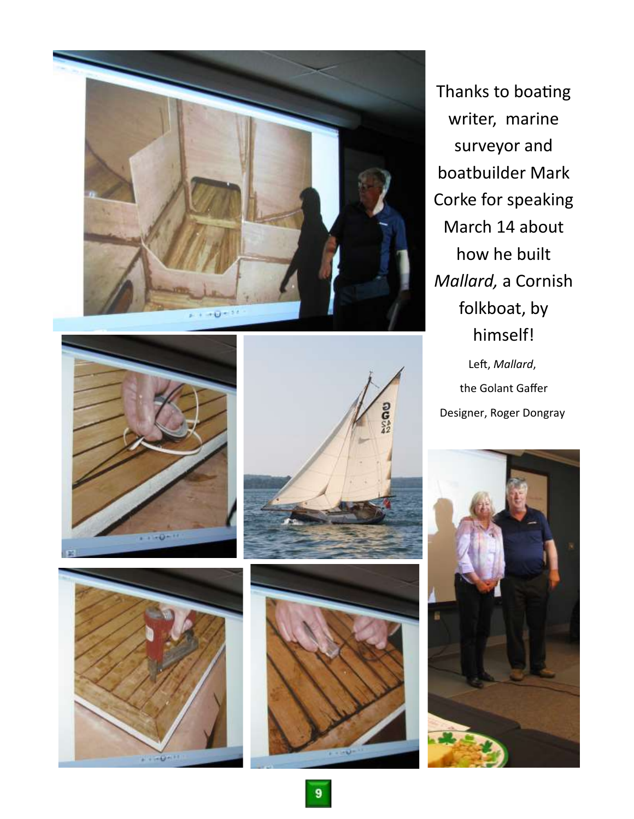





Thanks to boating writer, marine surveyor and boatbuilder Mark Corke for speaking March 14 about how he built *Mallard,* a Cornish folkboat, by himself! Left, *Mallard*, the Golant Gaffer Designer, Roger Dongray